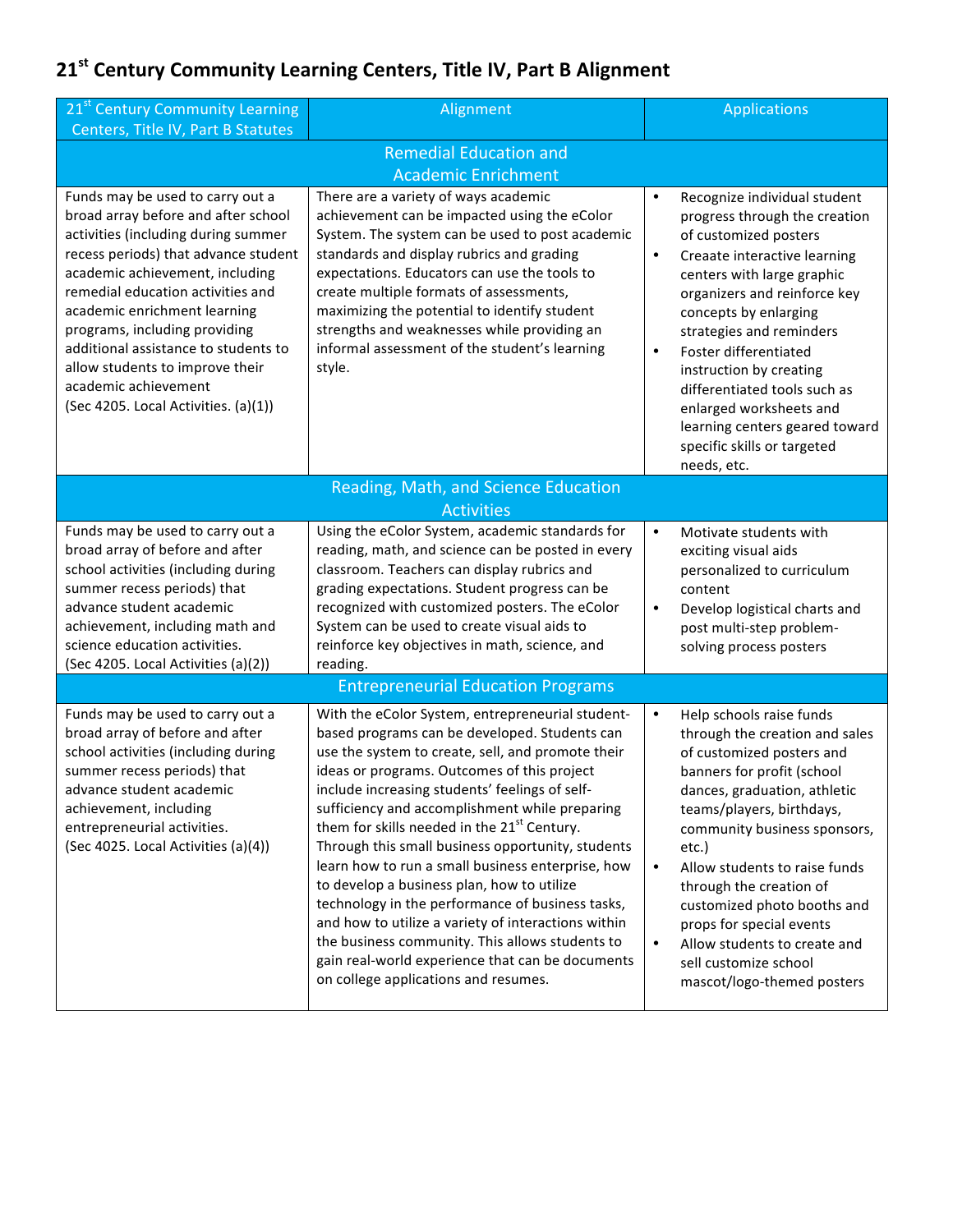## **21st Century Community Learning Centers, Title IV, Part B Alignment**

| 21 <sup>st</sup> Century Community Learning<br>Centers, Title IV, Part B Statutes                                                                                                                                                                                                                                                                                                                                                          | Alignment                                                                                                                                                                                                                                                                                                                                                                                                                                                                                                                                                                                                                                                                                                                                                                              | <b>Applications</b>                                                                                                                                                                                                                                                                                                                                                                                                                                                              |  |  |
|--------------------------------------------------------------------------------------------------------------------------------------------------------------------------------------------------------------------------------------------------------------------------------------------------------------------------------------------------------------------------------------------------------------------------------------------|----------------------------------------------------------------------------------------------------------------------------------------------------------------------------------------------------------------------------------------------------------------------------------------------------------------------------------------------------------------------------------------------------------------------------------------------------------------------------------------------------------------------------------------------------------------------------------------------------------------------------------------------------------------------------------------------------------------------------------------------------------------------------------------|----------------------------------------------------------------------------------------------------------------------------------------------------------------------------------------------------------------------------------------------------------------------------------------------------------------------------------------------------------------------------------------------------------------------------------------------------------------------------------|--|--|
| <b>Remedial Education and</b>                                                                                                                                                                                                                                                                                                                                                                                                              |                                                                                                                                                                                                                                                                                                                                                                                                                                                                                                                                                                                                                                                                                                                                                                                        |                                                                                                                                                                                                                                                                                                                                                                                                                                                                                  |  |  |
| <b>Academic Enrichment</b>                                                                                                                                                                                                                                                                                                                                                                                                                 |                                                                                                                                                                                                                                                                                                                                                                                                                                                                                                                                                                                                                                                                                                                                                                                        |                                                                                                                                                                                                                                                                                                                                                                                                                                                                                  |  |  |
| Funds may be used to carry out a<br>broad array before and after school<br>activities (including during summer<br>recess periods) that advance student<br>academic achievement, including<br>remedial education activities and<br>academic enrichment learning<br>programs, including providing<br>additional assistance to students to<br>allow students to improve their<br>academic achievement<br>(Sec 4205. Local Activities. (a)(1)) | There are a variety of ways academic<br>achievement can be impacted using the eColor<br>System. The system can be used to post academic<br>standards and display rubrics and grading<br>expectations. Educators can use the tools to<br>create multiple formats of assessments,<br>maximizing the potential to identify student<br>strengths and weaknesses while providing an<br>informal assessment of the student's learning<br>style.                                                                                                                                                                                                                                                                                                                                              | $\bullet$<br>Recognize individual student<br>progress through the creation<br>of customized posters<br>Creaate interactive learning<br>$\bullet$<br>centers with large graphic<br>organizers and reinforce key<br>concepts by enlarging<br>strategies and reminders<br>Foster differentiated<br>$\bullet$<br>instruction by creating<br>differentiated tools such as<br>enlarged worksheets and<br>learning centers geared toward<br>specific skills or targeted<br>needs, etc.  |  |  |
| Reading, Math, and Science Education<br><b>Activities</b>                                                                                                                                                                                                                                                                                                                                                                                  |                                                                                                                                                                                                                                                                                                                                                                                                                                                                                                                                                                                                                                                                                                                                                                                        |                                                                                                                                                                                                                                                                                                                                                                                                                                                                                  |  |  |
| Funds may be used to carry out a<br>broad array of before and after<br>school activities (including during<br>summer recess periods) that<br>advance student academic<br>achievement, including math and<br>science education activities.<br>(Sec 4205. Local Activities (a)(2))                                                                                                                                                           | Using the eColor System, academic standards for<br>reading, math, and science can be posted in every<br>classroom. Teachers can display rubrics and<br>grading expectations. Student progress can be<br>recognized with customized posters. The eColor<br>System can be used to create visual aids to<br>reinforce key objectives in math, science, and<br>reading.                                                                                                                                                                                                                                                                                                                                                                                                                    | $\bullet$<br>Motivate students with<br>exciting visual aids<br>personalized to curriculum<br>content<br>Develop logistical charts and<br>$\bullet$<br>post multi-step problem-<br>solving process posters                                                                                                                                                                                                                                                                        |  |  |
| <b>Entrepreneurial Education Programs</b>                                                                                                                                                                                                                                                                                                                                                                                                  |                                                                                                                                                                                                                                                                                                                                                                                                                                                                                                                                                                                                                                                                                                                                                                                        |                                                                                                                                                                                                                                                                                                                                                                                                                                                                                  |  |  |
| Funds may be used to carry out a<br>broad array of before and after<br>school activities (including during<br>summer recess periods) that<br>advance student academic<br>achievement, including<br>entrepreneurial activities.<br>(Sec 4025. Local Activities (a)(4))                                                                                                                                                                      | With the eColor System, entrepreneurial student-<br>based programs can be developed. Students can<br>use the system to create, sell, and promote their<br>ideas or programs. Outcomes of this project<br>include increasing students' feelings of self-<br>sufficiency and accomplishment while preparing<br>them for skills needed in the 21 <sup>st</sup> Century.<br>Through this small business opportunity, students<br>learn how to run a small business enterprise, how<br>to develop a business plan, how to utilize<br>technology in the performance of business tasks,<br>and how to utilize a variety of interactions within<br>the business community. This allows students to<br>gain real-world experience that can be documents<br>on college applications and resumes. | $\bullet$<br>Help schools raise funds<br>through the creation and sales<br>of customized posters and<br>banners for profit (school<br>dances, graduation, athletic<br>teams/players, birthdays,<br>community business sponsors,<br>etc.)<br>Allow students to raise funds<br>$\bullet$<br>through the creation of<br>customized photo booths and<br>props for special events<br>Allow students to create and<br>$\bullet$<br>sell customize school<br>mascot/logo-themed posters |  |  |